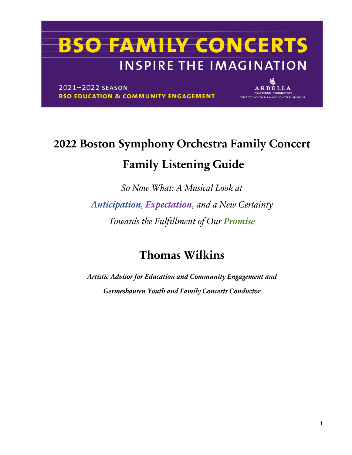2021-2022 SEASON **BSO EDUCATION & COMMUNITY ENGAGEMENT** 

ARBELLA 2021/22 YOUTH & FAMILY CONCERTS SPONSOR

### **2022 Boston Symphony Orchestra Family Concert Family Listening Guide**

*So Now What: A Musical Look at Anticipation, Expectation, and a New Certainty Towards the Fulfillment of Our Promise*

### **Thomas Wilkins**

*Artistic Advisor for Education and Community Engagement and Germeshausen Youth and Family Concerts Conductor*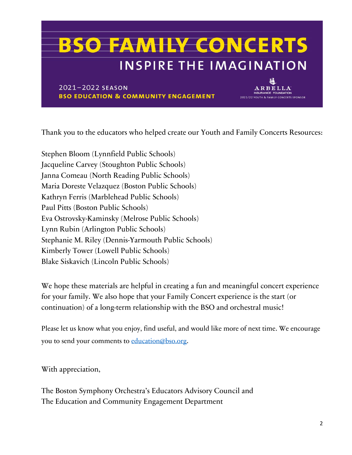2021-2022 SEASON **BSO EDUCATION & COMMUNITY ENGAGEMENT** 

Thank you to the educators who helped create our Youth and Family Concerts Resources:

ARBELLA

2021/22 YOUTH & FAMILY CONCERTS SPONSOR

Stephen Bloom (Lynnfield Public Schools) Jacqueline Carvey (Stoughton Public Schools) Janna Comeau (North Reading Public Schools) Maria Doreste Velazquez (Boston Public Schools) Kathryn Ferris (Marblehead Public Schools) Paul Pitts (Boston Public Schools) Eva Ostrovsky-Kaminsky (Melrose Public Schools) Lynn Rubin (Arlington Public Schools) Stephanie M. Riley (Dennis-Yarmouth Public Schools) Kimberly Tower (Lowell Public Schools) Blake Siskavich (Lincoln Public Schools)

We hope these materials are helpful in creating a fun and meaningful concert experience for your family. We also hope that your Family Concert experience is the start (or continuation) of a long-term relationship with the BSO and orchestral music!

Please let us know what you enjoy, find useful, and would like more of next time. We encourage you to send your comments to [education@bso.org.](mailto:education@bso.org)

With appreciation,

The Boston Symphony Orchestra's Educators Advisory Council and The Education and Community Engagement Department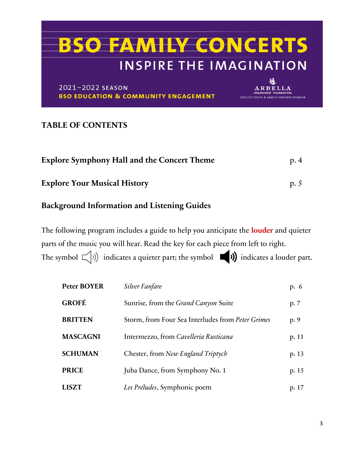U

ARBELLA

2021/22 YOUTH & FAMILY CONCERTS SPONSOR

2021-2022 SEASON **BSO EDUCATION & COMMUNITY ENGAGEMENT** 

#### **TABLE OF CONTENTS**

| <b>Explore Symphony Hall and the Concert Theme</b> | p.4 |
|----------------------------------------------------|-----|
| <b>Explore Your Musical History</b>                | p.5 |

#### **Background Information and Listening Guides**

The following program includes a guide to help you anticipate the **louder** and quieter parts of the music you will hear. Read the key for each piece from left to right. The symbol  $\Box$ )) indicates a quieter part; the symbol  $\Box$ ) indicates a louder part.

| <b>Peter BOYER</b> | Silver Fanfare                                    | p. 6  |
|--------------------|---------------------------------------------------|-------|
| <b>GROFÉ</b>       | Sunrise, from the <i>Grand Canyon</i> Suite       | p. 7  |
| <b>BRITTEN</b>     | Storm, from Four Sea Interludes from Peter Grimes | p. 9  |
| <b>MASCAGNI</b>    | Intermezzo, from Cavelleria Rusticana             | p. 11 |
| <b>SCHUMAN</b>     | Chester, from New England Triptych                | p. 13 |
| <b>PRICE</b>       | Juba Dance, from Symphony No. 1                   | p. 15 |
| <b>LISZT</b>       | Les Préludes, Symphonic poem                      | p. 17 |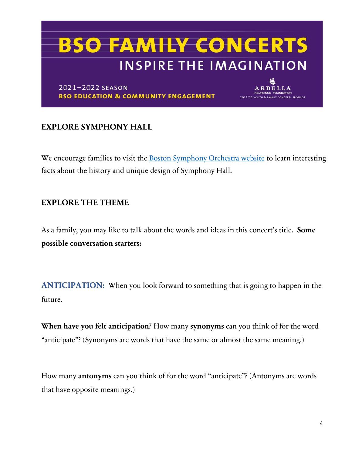2021-2022 SEASON **BSO EDUCATION & COMMUNITY ENGAGEMENT** 

ARBELLA 2021/22 YOUTH & FAMILY CONCERTS SPONSOR

#### **EXPLORE SYMPHONY HALL**

We encourage families to visit the **Boston Symphony Orchestra website** to learn interesting facts about the history and unique design of Symphony Hall.

#### **EXPLORE THE THEME**

As a family, you may like to talk about the words and ideas in this concert's title. **Some possible conversation starters:**

**ANTICIPATION:** When you look forward to something that is going to happen in the future.

**When have you felt anticipation?** How many **synonyms** can you think of for the word "anticipate"? (Synonyms are words that have the same or almost the same meaning.)

How many **antonyms** can you think of for the word "anticipate"? (Antonyms are words that have opposite meanings.)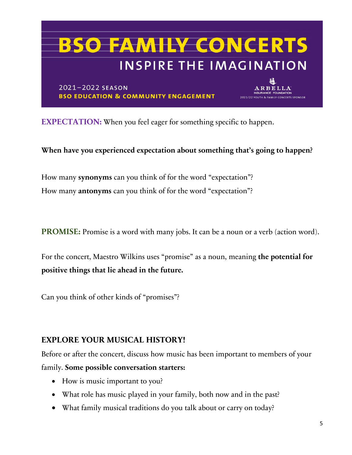### **BSO FAMILY CONCERTS INSPIRE THE IMAGINATION** 2021-2022 SEASON ARBELLA **BSO EDUCATION & COMMUNITY ENGAGEMENT**

**2021/22 YOUTH & FAMILY CONCERTS SPONSOR** 

**EXPECTATION:** When you feel eager for something specific to happen.

**When have you experienced expectation about something that's going to happen?**

How many **synonyms** can you think of for the word "expectation"? How many **antonyms** can you think of for the word "expectation"?

**PROMISE:** Promise is a word with many jobs. It can be a noun or a verb (action word).

For the concert, Maestro Wilkins uses "promise" as a noun, meaning **the potential for positive things that lie ahead in the future.** 

Can you think of other kinds of "promises"?

#### **EXPLORE YOUR MUSICAL HISTORY!**

Before or after the concert, discuss how music has been important to members of your family. **Some possible conversation starters:**

- How is music important to you?
- What role has music played in your family, both now and in the past?
- What family musical traditions do you talk about or carry on today?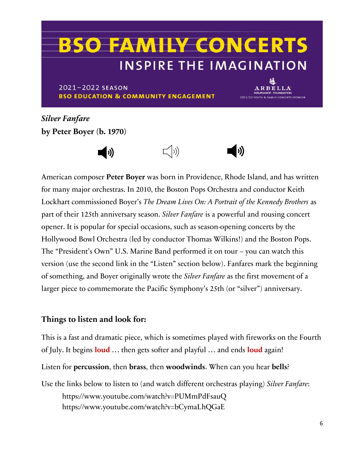2021-2022 SEASON **BSO EDUCATION & COMMUNITY ENGAGEMENT** 

ARBELLA 2021/22 YOUTH & FAMILY CONCERTS SPONSOR

*Silver Fanfare* **by Peter Boyer (b. 1970)**



American composer **Peter Boyer** was born in Providence, Rhode Island, and has written for many major orchestras. In 2010, the Boston Pops Orchestra and conductor Keith Lockhart commissioned Boyer's *The Dream Lives On: A Portrait of the Kennedy Brothers* as part of their 125th anniversary season. *Silver Fanfare* is a powerful and rousing concert opener. It is popular for special occasions, such as season-opening concerts by the Hollywood Bowl Orchestra (led by conductor Thomas Wilkins!) and the Boston Pops. The "President's Own" U.S. Marine Band performed it on tour – you can watch this version (use the second link in the "Listen" section below). Fanfares mark the beginning of something, and Boyer originally wrote the *Silver Fanfare* as the first movement of a larger piece to commemorate the Pacific Symphony's 25th (or "silver") anniversary.

#### **Things to listen and look for:**

This is a fast and dramatic piece, which is sometimes played with fireworks on the Fourth of July. It begins **loud** … then gets softer and playful … and ends **loud** again!

Listen for **percussion**, then **brass**, then **woodwinds**. When can you hear **bells**?

Use the links below to listen to (and watch different orchestras playing) *Silver Fanfare*: https://www.youtube.com/watch?v=PUMmPdFsauQ https://www.youtube.com/watch?v=bCymaLhQGaE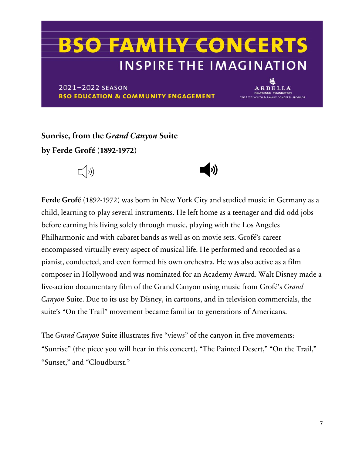2021-2022 SEASON **BSO EDUCATION & COMMUNITY ENGAGEMENT** 

ARBELLA 2021/22 YOUTH & FAMILY CONCERTS SPONSOR

**Sunrise, from the** *Grand Canyon* **Suite by Ferde Grofé (1892-1972)**



**Ferde Grofé** (1892-1972) was born in New York City and studied music in Germany as a child, learning to play several instruments. He left home as a teenager and did odd jobs before earning his living solely through music, playing with the Los Angeles Philharmonic and with cabaret bands as well as on movie sets. Grofé's career encompassed virtually every aspect of musical life. He performed and recorded as a pianist, conducted, and even formed his own orchestra. He was also active as a film composer in Hollywood and was nominated for an Academy Award. Walt Disney made a live-action documentary film of the Grand Canyon using music from Grofé's *Grand Canyon* Suite. Due to its use by Disney, in cartoons, and in television commercials, the suite's "On the Trail" movement became familiar to generations of Americans.

 $\blacktriangleleft$  i)

The *Grand Canyon* Suite illustrates five "views" of the canyon in five movements: "Sunrise" (the piece you will hear in this concert), "The Painted Desert," "On the Trail," "Sunset." and "Cloudburst."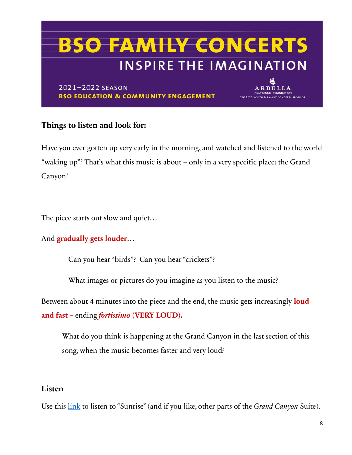

#### **Things to listen and look for:**

Have you ever gotten up very early in the morning, and watched and listened to the world "waking up"? That's what this music is about – only in a very specific place: the Grand Canyon!

The piece starts out slow and quiet...

#### And **gradually gets louder**…

Can you hear "birds"? Can you hear "crickets"?

What images or pictures do you imagine as you listen to the music?

Between about 4 minutes into the piece and the end, the music gets increasingly **loud and fast –** ending *fortissimo* **(VERY LOUD).**

What do you think is happening at the Grand Canyon in the last section of this song, when the music becomes faster and very loud?

#### **Listen**

Use this [link](https://www.youtube.com/watch?v=zEaif_5wXrY) to listen to "Sunrise" (and if you like, other parts of the *Grand Canyon* Suite).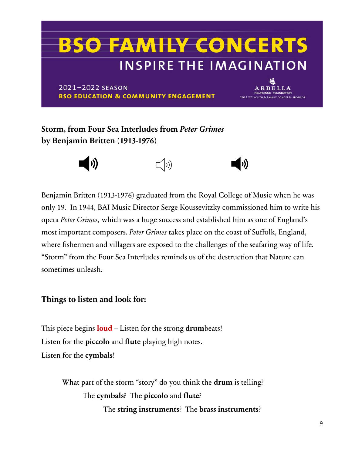2021-2022 SEASON **BSO EDUCATION & COMMUNITY ENGAGEMENT** 

ARBELLA 2021/22 YOUTH & FAMILY CONCERTS SPONSOR

**Storm, from Four Sea Interludes from** *Peter Grimes* **by Benjamin Britten (1913-1976)**



Benjamin Britten (1913-1976) graduated from the Royal College of Music when he was only 19. In 1944, BAI Music Director Serge Koussevitzky commissioned him to write his opera *Peter Grimes,* which was a huge success and established him as one of England's most important composers. *Peter Grimes* takes place on the coast of Suffolk, England, where fishermen and villagers are exposed to the challenges of the seafaring way of life. "Storm" from the Four Sea Interludes reminds us of the destruction that Nature can sometimes unleash.

#### **Things to listen and look for:**

This piece begins **loud** – Listen for the strong **drum**beats! Listen for the **piccolo** and **flute** playing high notes. Listen for the **cymbals**!

> What part of the storm "story" do you think the **drum** is telling? The **cymbals**? The **piccolo** and **flute**? The **string instruments**? The **brass instruments**?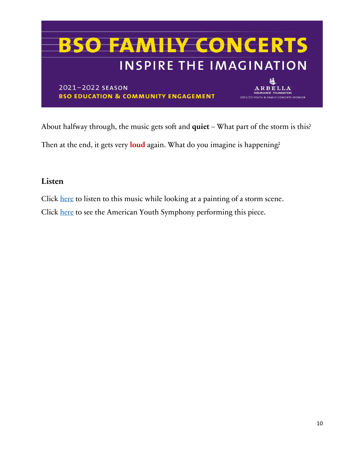

About halfway through, the music gets soft and **quiet** – What part of the storm is this? Then at the end, it gets very **loud** again. What do you imagine is happening?

#### **Listen**

Click [here](https://www.youtube.com/watch?v=PUMmPdFsauQ) to listen to this music while looking at a painting of a storm scene. Click [here](https://www.youtube.com/watch?v=JAxd_caebXc) to see the American Youth Symphony performing this piece.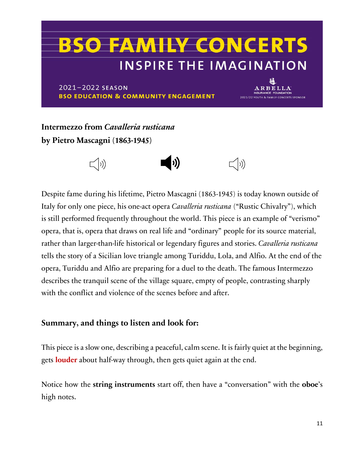2021-2022 SEASON **BSO EDUCATION & COMMUNITY ENGAGEMENT** 

ARBELLA 2021/22 YOUTH & FAMILY CONCERTS SPONSOR

**Intermezzo from** *Cavalleria rusticana* **by Pietro Mascagni (1863-1945)**



Despite fame during his lifetime, Pietro Mascagni (1863-1945) is today known outside of Italy for only one piece, his one-act opera *Cavalleria rusticana* ("Rustic Chivalry"), which is still performed frequently throughout the world. This piece is an example of "verismo" opera, that is, opera that draws on real life and "ordinary" people for its source material, rather than larger-than-life historical or legendary figures and stories. *Cavalleria rusticana* tells the story of a Sicilian love triangle among Turiddu, Lola, and Alfio. At the end of the opera, Turiddu and Alfio are preparing for a duel to the death. The famous Intermezzo describes the tranquil scene of the village square, empty of people, contrasting sharply with the conflict and violence of the scenes before and after.

#### **Summary, and things to listen and look for:**

This piece is a slow one, describing a peaceful, calm scene. It is fairly quiet at the beginning, gets **louder** about half-way through, then gets quiet again at the end.

Notice how the **string instruments** start off, then have a "conversation" with the **oboe**'s high notes.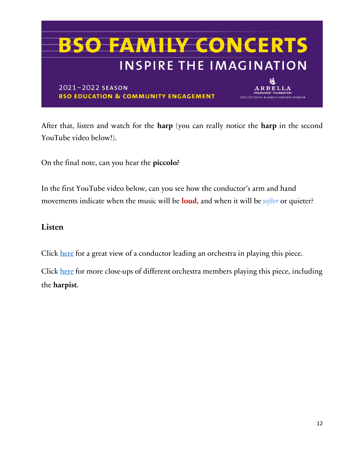

After that, listen and watch for the **harp** (you can really notice the **harp** in the second YouTube video below!).

On the final note, can you hear the **piccolo?**

In the first YouTube video below, can you see how the conductor's arm and hand movements indicate when the music will be **loud**, and when it will be *softer* or quieter?

#### **Listen**

Click [here](https://www.youtube.com/watch?v=eMLNWfhLTSE) for a great view of a conductor leading an orchestra in playing this piece.

Click [here](https://www.youtube.com/watch?v=QmnBmmGWJ00) for more close-ups of different orchestra members playing this piece, including the **harpist**.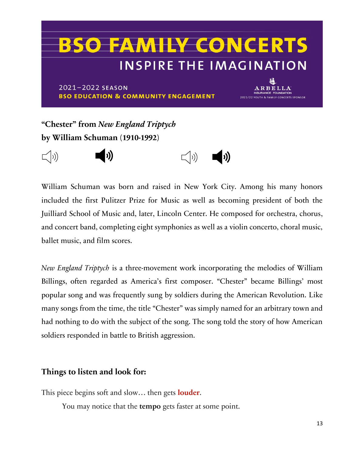2021-2022 SEASON **BSO EDUCATION & COMMUNITY ENGAGEMENT** 

**ARBELLA** 2021/22 YOUTH & FAMILY CONCERTS SPONSOR

**"Chester" from** *New England Triptych* **by William Schuman (1910-1992)**



William Schuman was born and raised in New York City. Among his many honors included the first Pulitzer Prize for Music as well as becoming president of both the Juilliard School of Music and, later, Lincoln Center. He composed for orchestra, chorus, and concert band, completing eight symphonies as well as a violin concerto, choral music, ballet music, and film scores.

*New England Triptych* is a three-movement work incorporating the melodies of William Billings, often regarded as America's first composer. "Chester" became Billings' most popular song and was frequently sung by soldiers during the American Revolution. Like many songs from the time, the title "Chester" was simply named for an arbitrary town and had nothing to do with the subject of the song. The song told the story of how American soldiers responded in battle to British aggression.

#### **Things to listen and look for:**

This piece begins soft and slow… then gets **louder**.

You may notice that the **tempo** gets faster at some point.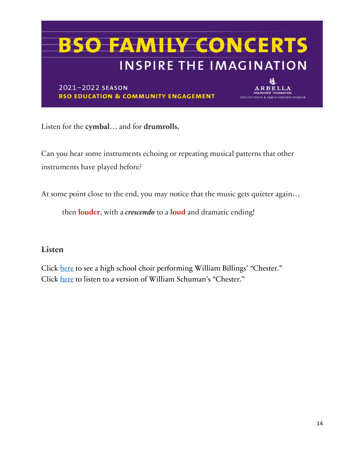2021-2022 SEASON **BSO EDUCATION & COMMUNITY ENGAGEMENT** 

ARBELLA 2021/22 YOUTH & FAMILY CONCERTS SPONSOR

Listen for the **cymbal**… and for **drumrolls.**

Can you hear some instruments echoing or repeating musical patterns that other instruments have played before?

At some point close to the end, you may notice that the music gets quieter again…

then **louder**, with a *crescendo* to a **loud** and dramatic ending!

#### **Listen**

Click [here](https://www.youtube.com/watch?v=E_St8bsx31A) to see a high school choir performing William Billings' "Chester." Click [here](https://www.youtube.com/watch?v=ktVJcwbv-ag) to listen to a version of William Schuman's "Chester."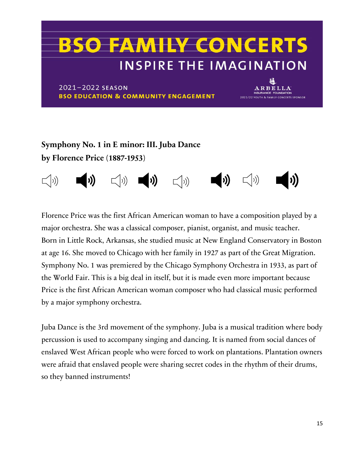2021-2022 SEASON **BSO EDUCATION & COMMUNITY ENGAGEMENT** 

**ARBELLA** 2021/22 YOUTH & FAMILY CONCERTS SPONSOR

### **Symphony No. 1 in E minor: III. Juba Dance by Florence Price (1887-1953)**



Florence Price was the first African American woman to have a composition played by a major orchestra. She was a classical composer, pianist, organist, and music teacher. Born in Little Rock, Arkansas, she studied music at New England Conservatory in Boston at age 16. She moved to Chicago with her family in 1927 as part of the Great Migration. Symphony No. 1 was premiered by the Chicago Symphony Orchestra in 1933, as part of the World Fair. This is a big deal in itself, but it is made even more important because Price is the first African American woman composer who had classical music performed by a major symphony orchestra.

Juba Dance is the 3rd movement of the symphony. Juba is a musical tradition where body percussion is used to accompany singing and dancing. It is named from social dances of enslaved West African people who were forced to work on plantations. Plantation owners were afraid that enslaved people were sharing secret codes in the rhythm of their drums, so they banned instruments!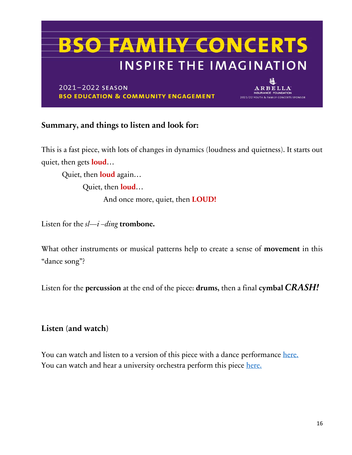2021-2022 SEASON **BSO EDUCATION & COMMUNITY ENGAGEMENT** 

ARBELLA 2021/22 YOUTH & FAMILY CONCERTS SPONSOR

#### **Summary, and things to listen and look for:**

This is a fast piece, with lots of changes in dynamics (loudness and quietness). It starts out quiet, then gets **loud**…

Quiet, then **loud** again…

Quiet, then **loud**…

And once more, quiet, then **LOUD!**

Listen for the *sl—i –ding* **trombone.**

What other instruments or musical patterns help to create a sense of **movement** in this "dance song"?

Listen for the **percussion** at the end of the piece: **drums,** then a final **cymbal** *CRASH!*

#### **Listen (and watch)**

You can watch and listen to a version of this piece with a dance performance [here.](https://www.youtube.com/watch?v=FhXC3d46Po0) You can watch and hear a university orchestra perform this piece [here.](https://www.youtube.com/watch?v=KEiP6g2iRxs)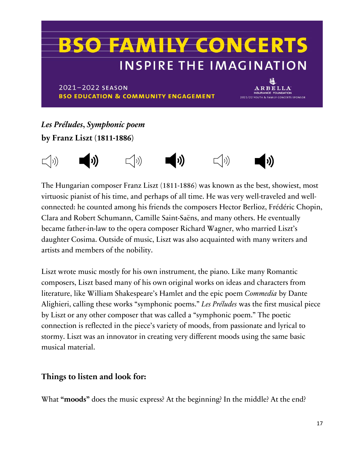2021-2022 SEASON **BSO EDUCATION & COMMUNITY ENGAGEMENT** 

ARBELLA 2021/22 YOUTH & FAMILY CONCERTS SPONSOR

### *Les Préludes***,** *Symphonic poem* **by Franz Liszt (1811-1886)**



The Hungarian composer Franz Liszt (1811-1886) was known as the best, showiest, most virtuosic pianist of his time, and perhaps of all time. He was very well-traveled and wellconnected: he counted among his friends the composers Hector Berlioz, Frédéric Chopin, Clara and Robert Schumann, Camille Saint-Saëns, and many others. He eventually became father-in-law to the opera composer Richard Wagner, who married Liszt's daughter Cosima. Outside of music, Liszt was also acquainted with many writers and artists and members of the nobility.

Liszt wrote music mostly for his own instrument, the piano. Like many Romantic composers, Liszt based many of his own original works on ideas and characters from literature, like William Shakespeare's Hamlet and the epic poem *Commedia* by Dante Alighieri, calling these works "symphonic poems." *Les Préludes* was the first musical piece by Liszt or any other composer that was called a "symphonic poem." The poetic connection is reflected in the piece's variety of moods, from passionate and lyrical to stormy. Liszt was an innovator in creating very different moods using the same basic musical material.

#### **Things to listen and look for:**

What **"moods"** does the music express? At the beginning? In the middle? At the end?